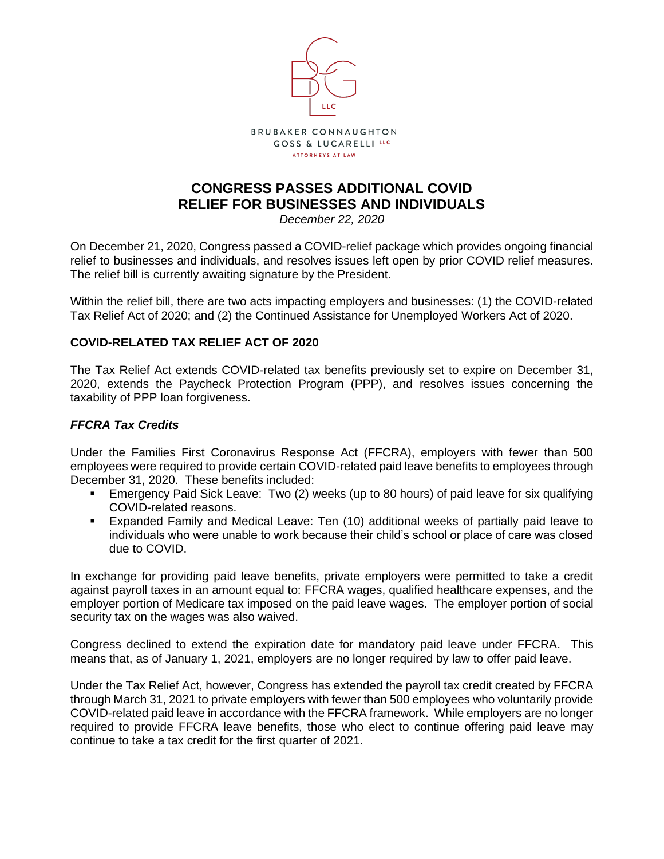

# **CONGRESS PASSES ADDITIONAL COVID RELIEF FOR BUSINESSES AND INDIVIDUALS**

*December 22, 2020*

On December 21, 2020, Congress passed a COVID-relief package which provides ongoing financial relief to businesses and individuals, and resolves issues left open by prior COVID relief measures. The relief bill is currently awaiting signature by the President.

Within the relief bill, there are two acts impacting employers and businesses: (1) the COVID-related Tax Relief Act of 2020; and (2) the Continued Assistance for Unemployed Workers Act of 2020.

### **COVID-RELATED TAX RELIEF ACT OF 2020**

The Tax Relief Act extends COVID-related tax benefits previously set to expire on December 31, 2020, extends the Paycheck Protection Program (PPP), and resolves issues concerning the taxability of PPP loan forgiveness.

### *FFCRA Tax Credits*

Under the Families First Coronavirus Response Act (FFCRA), employers with fewer than 500 employees were required to provide certain COVID-related paid leave benefits to employees through December 31, 2020. These benefits included:

- **Emergency Paid Sick Leave: Two (2) weeks (up to 80 hours) of paid leave for six qualifying** COVID-related reasons.
- Expanded Family and Medical Leave: Ten (10) additional weeks of partially paid leave to individuals who were unable to work because their child's school or place of care was closed due to COVID.

In exchange for providing paid leave benefits, private employers were permitted to take a credit against payroll taxes in an amount equal to: FFCRA wages, qualified healthcare expenses, and the employer portion of Medicare tax imposed on the paid leave wages. The employer portion of social security tax on the wages was also waived.

Congress declined to extend the expiration date for mandatory paid leave under FFCRA. This means that, as of January 1, 2021, employers are no longer required by law to offer paid leave.

Under the Tax Relief Act, however, Congress has extended the payroll tax credit created by FFCRA through March 31, 2021 to private employers with fewer than 500 employees who voluntarily provide COVID-related paid leave in accordance with the FFCRA framework. While employers are no longer required to provide FFCRA leave benefits, those who elect to continue offering paid leave may continue to take a tax credit for the first quarter of 2021.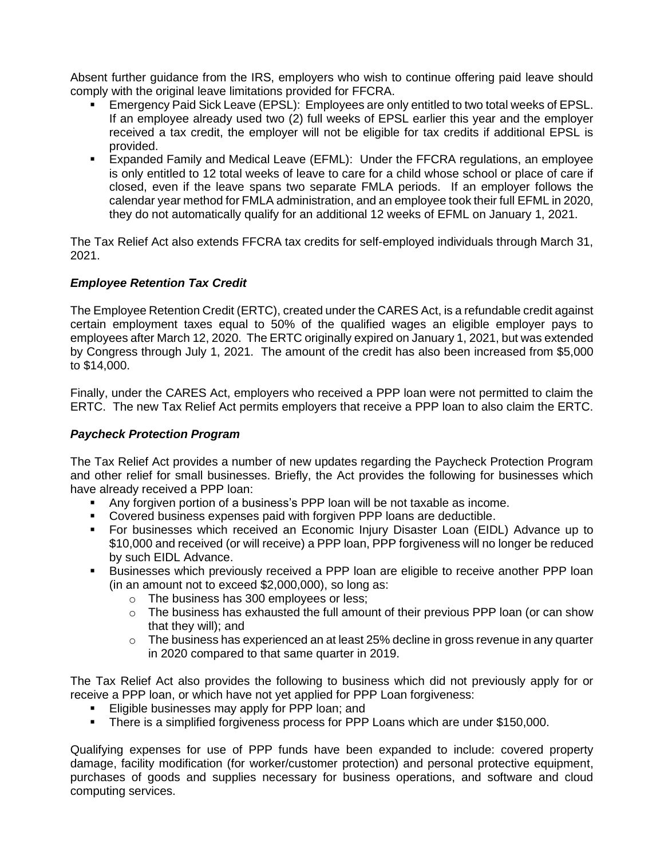Absent further guidance from the IRS, employers who wish to continue offering paid leave should comply with the original leave limitations provided for FFCRA.

- Emergency Paid Sick Leave (EPSL): Employees are only entitled to two total weeks of EPSL. If an employee already used two (2) full weeks of EPSL earlier this year and the employer received a tax credit, the employer will not be eligible for tax credits if additional EPSL is provided.
- Expanded Family and Medical Leave (EFML): Under the FFCRA regulations, an employee is only entitled to 12 total weeks of leave to care for a child whose school or place of care if closed, even if the leave spans two separate FMLA periods. If an employer follows the calendar year method for FMLA administration, and an employee took their full EFML in 2020, they do not automatically qualify for an additional 12 weeks of EFML on January 1, 2021.

The Tax Relief Act also extends FFCRA tax credits for self-employed individuals through March 31, 2021.

## *Employee Retention Tax Credit*

The Employee Retention Credit (ERTC), created under the CARES Act, is a refundable credit against certain employment taxes equal to 50% of the qualified wages an eligible employer pays to employees after March 12, 2020. The ERTC originally expired on January 1, 2021, but was extended by Congress through July 1, 2021. The amount of the credit has also been increased from \$5,000 to \$14,000.

Finally, under the CARES Act, employers who received a PPP loan were not permitted to claim the ERTC. The new Tax Relief Act permits employers that receive a PPP loan to also claim the ERTC.

### *Paycheck Protection Program*

The Tax Relief Act provides a number of new updates regarding the Paycheck Protection Program and other relief for small businesses. Briefly, the Act provides the following for businesses which have already received a PPP loan:

- Any forgiven portion of a business's PPP loan will be not taxable as income.
- Covered business expenses paid with forgiven PPP loans are deductible.
- For businesses which received an Economic Injury Disaster Loan (EIDL) Advance up to \$10,000 and received (or will receive) a PPP loan, PPP forgiveness will no longer be reduced by such EIDL Advance.
- Businesses which previously received a PPP loan are eligible to receive another PPP loan (in an amount not to exceed \$2,000,000), so long as:
	- o The business has 300 employees or less;
	- o The business has exhausted the full amount of their previous PPP loan (or can show that they will); and
	- $\circ$  The business has experienced an at least 25% decline in gross revenue in any quarter in 2020 compared to that same quarter in 2019.

The Tax Relief Act also provides the following to business which did not previously apply for or receive a PPP loan, or which have not yet applied for PPP Loan forgiveness:

- **Eligible businesses may apply for PPP loan; and**
- There is a simplified forgiveness process for PPP Loans which are under \$150,000.

Qualifying expenses for use of PPP funds have been expanded to include: covered property damage, facility modification (for worker/customer protection) and personal protective equipment, purchases of goods and supplies necessary for business operations, and software and cloud computing services.